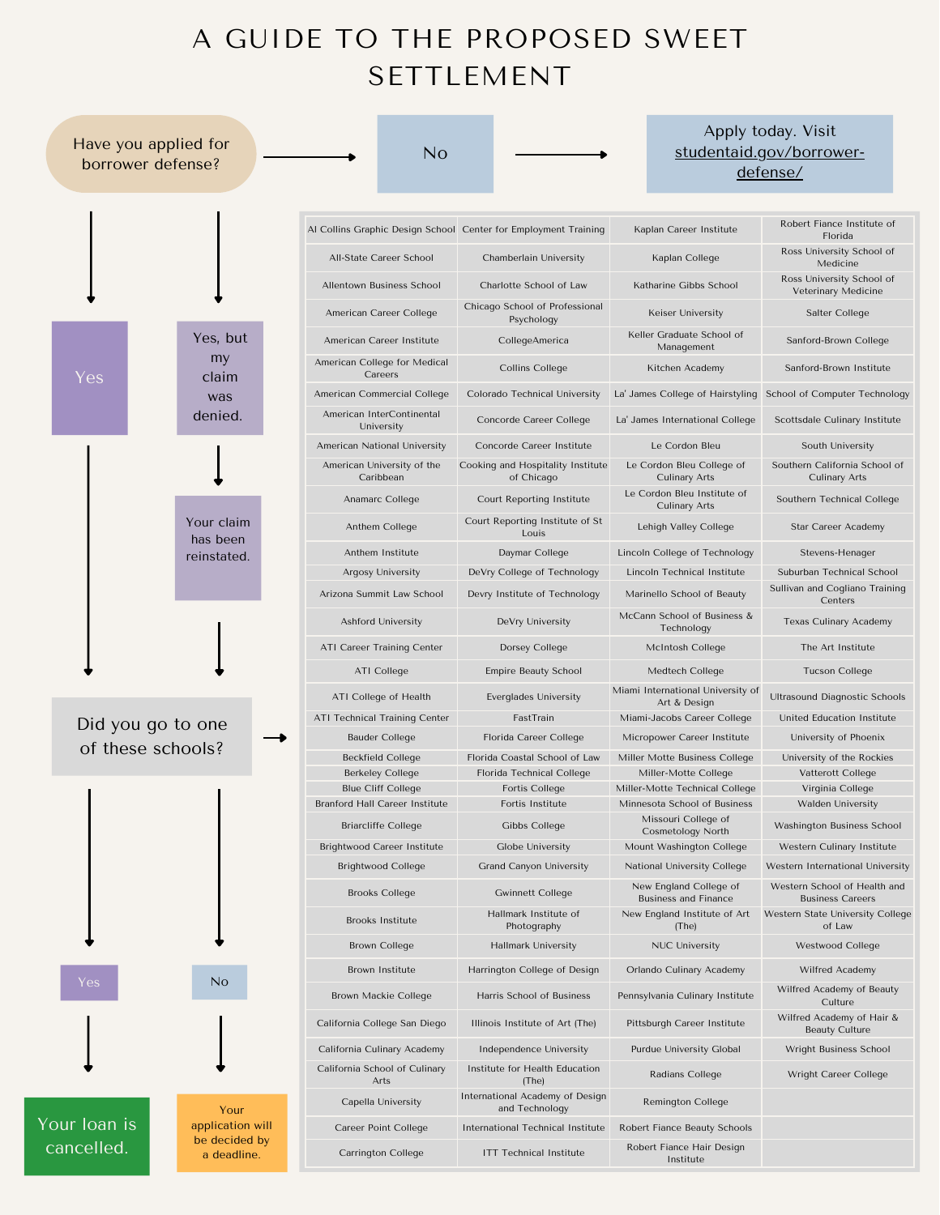## A GUIDE TO THE PROPOSED SWEET SETTLEMENT

| Have you applied for<br>borrower defense? |                                           | No                                                                 |                                                    |                                                                | Apply today. Visit<br>studentaid.gov/borrower-<br>defense/       |
|-------------------------------------------|-------------------------------------------|--------------------------------------------------------------------|----------------------------------------------------|----------------------------------------------------------------|------------------------------------------------------------------|
|                                           |                                           | Al Collins Graphic Design School Center for Employment Training    |                                                    | Kaplan Career Institute                                        | Robert Fiance Institute of<br>Florida                            |
|                                           |                                           | All-State Career School                                            | Chamberlain University                             | Kaplan College                                                 | Ross University School of<br>Medicine                            |
|                                           |                                           | Allentown Business School                                          | Charlotte School of Law                            | Katharine Gibbs School                                         | Ross University School of<br>Veterinary Medicine                 |
| Yes                                       | Yes, but<br>my<br>claim<br>was<br>denied. | American Career College                                            | Chicago School of Professional<br>Psychology       | Keiser University                                              | Salter College                                                   |
|                                           |                                           | American Career Institute                                          | CollegeAmerica                                     | Keller Graduate School of<br>Management                        | Sanford-Brown College                                            |
|                                           |                                           | American College for Medical<br>Careers                            | <b>Collins College</b>                             | Kitchen Academy                                                | Sanford-Brown Institute                                          |
|                                           |                                           | American Commercial College                                        | Colorado Technical University                      | La' James College of Hairstyling School of Computer Technology |                                                                  |
|                                           |                                           | American InterContinental<br>University                            | Concorde Career College                            | La' James International College                                | Scottsdale Culinary Institute                                    |
|                                           | Your claim<br>has been<br>reinstated.     | American National University                                       | Concorde Career Institute                          | Le Cordon Bleu                                                 | South University                                                 |
|                                           |                                           | American University of the<br>Caribbean                            | Cooking and Hospitality Institute<br>of Chicago    | Le Cordon Bleu College of<br>Culinary Arts                     | Southern California School of<br>Culinary Arts                   |
|                                           |                                           | Anamarc College                                                    | Court Reporting Institute                          | Le Cordon Bleu Institute of<br><b>Culinary Arts</b>            | Southern Technical College                                       |
|                                           |                                           | Anthem College                                                     | Court Reporting Institute of St<br>Louis           | Lehigh Valley College                                          | Star Career Academy                                              |
|                                           |                                           | Anthem Institute                                                   | Daymar College                                     | Lincoln College of Technology                                  | Stevens-Henager                                                  |
|                                           |                                           | Argosy University                                                  | DeVry College of Technology                        | Lincoln Technical Institute                                    | Suburban Technical School                                        |
|                                           |                                           | Arizona Summit Law School                                          | Devry Institute of Technology                      | Marinello School of Beauty                                     | Sullivan and Cogliano Training<br>Centers                        |
|                                           |                                           | Ashford University                                                 | DeVry University                                   | McCann School of Business &<br>Technology                      | <b>Texas Culinary Academy</b>                                    |
|                                           |                                           | ATI Career Training Center                                         | Dorsey College                                     | McIntosh College                                               | The Art Institute                                                |
|                                           |                                           | <b>ATI College</b>                                                 | <b>Empire Beauty School</b>                        | Medtech College                                                | <b>Tucson College</b>                                            |
| Did you go to one<br>of these schools?    |                                           | ATI College of Health                                              | Everglades University                              | Miami International University of<br>Art & Design              | Ultrasound Diagnostic Schools                                    |
|                                           |                                           | <b>ATI Technical Training Center</b>                               | FastTrain                                          | Miami-Jacobs Career College                                    | United Education Institute                                       |
|                                           |                                           | <b>Bauder College</b>                                              | Florida Career College                             | Micropower Career Institute                                    | University of Phoenix                                            |
|                                           |                                           | <b>Beckfield College</b>                                           | Florida Coastal School of Law                      | Miller Motte Business College                                  | University of the Rockies                                        |
|                                           |                                           | <b>Berkeley College</b>                                            | Florida Technical College                          | Miller-Motte College                                           | Vatterott College                                                |
|                                           |                                           | <b>Blue Cliff College</b><br><b>Branford Hall Career Institute</b> | Fortis College                                     | Miller-Motte Technical College                                 | Virginia College                                                 |
|                                           |                                           | <b>Briarcliffe College</b>                                         | Fortis Institute<br>Gibbs College                  | Minnesota School of Business<br>Missouri College of            | Walden University<br>Washington Business School                  |
|                                           |                                           | Brightwood Career Institute                                        | Globe University                                   | <b>Cosmetology North</b><br>Mount Washington College           | Western Culinary Institute                                       |
|                                           |                                           |                                                                    |                                                    |                                                                |                                                                  |
|                                           |                                           | <b>Brightwood College</b><br><b>Brooks College</b>                 | Grand Canyon University<br><b>Gwinnett College</b> | National University College<br>New England College of          | Western International University<br>Western School of Health and |
|                                           |                                           | <b>Brooks Institute</b>                                            | Hallmark Institute of                              | <b>Business and Finance</b><br>New England Institute of Art    | <b>Business Careers</b><br>Western State University College      |
| Yes:<br>Your Ioan is<br>cancelled.        | No<br>Your<br>application will            | <b>Brown College</b>                                               | Photography<br><b>Hallmark University</b>          | (The)<br><b>NUC University</b>                                 | of Law<br>Westwood College                                       |
|                                           |                                           | Brown Institute                                                    | Harrington College of Design                       | Orlando Culinary Academy                                       | Wilfred Academy                                                  |
|                                           |                                           | Brown Mackie College                                               | Harris School of Business                          | Pennsylvania Culinary Institute                                | Wilfred Academy of Beauty<br>Culture                             |
|                                           |                                           | California College San Diego                                       | Illinois Institute of Art (The)                    | Pittsburgh Career Institute                                    | Wilfred Academy of Hair &<br><b>Beauty Culture</b>               |
|                                           |                                           | California Culinary Academy                                        | Independence University                            | Purdue University Global                                       | Wright Business School                                           |
|                                           |                                           | California School of Culinary<br>Arts                              | Institute for Health Education<br>(The)            | Radians College                                                | Wright Career College                                            |
|                                           |                                           | Capella University                                                 | International Academy of Design<br>and Technology  | <b>Remington College</b>                                       |                                                                  |
|                                           |                                           | Career Point College                                               | International Technical Institute                  | Robert Fiance Beauty Schools                                   |                                                                  |
|                                           | be decided by<br>a deadline.              | Carrington College                                                 | <b>ITT Technical Institute</b>                     | Robert Fiance Hair Design<br>Institute                         |                                                                  |